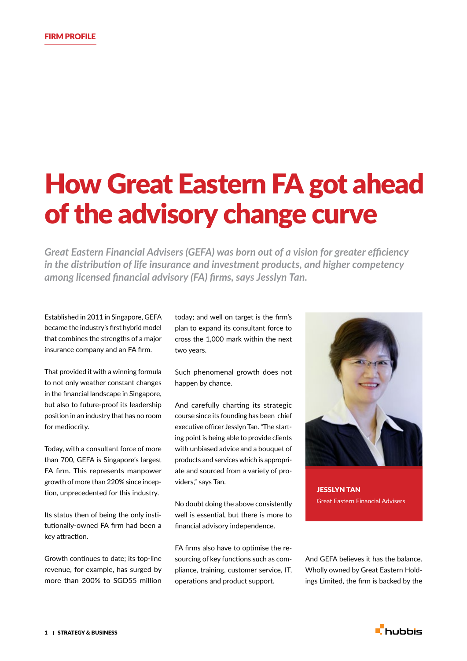## How Great Eastern FA got ahead of the advisory change curve

*Great Eastern Financial Advisers (GEFA) was born out of a vision for greater efficiency in the distribution of life insurance and investment products, and higher competency among licensed financial advisory (FA) firms, says Jesslyn Tan.*

Established in 2011 in Singapore, GEFA became the industry's first hybrid model that combines the strengths of a major insurance company and an FA firm.

That provided it with a winning formula to not only weather constant changes in the financial landscape in Singapore, but also to future-proof its leadership position in an industry that has no room for mediocrity.

Today, with a consultant force of more than 700, GEFA is Singapore's largest FA firm. This represents manpower growth of more than 220% since inception, unprecedented for this industry.

Its status then of being the only institutionally-owned FA firm had been a key attraction.

Growth continues to date; its top-line revenue, for example, has surged by more than 200% to SGD55 million today; and well on target is the firm's plan to expand its consultant force to cross the 1,000 mark within the next two years.

Such phenomenal growth does not happen by chance.

And carefully charting its strategic course since its founding has been chief executive officer Jesslyn Tan. "The starting point is being able to provide clients with unbiased advice and a bouquet of products and services which is appropriate and sourced from a variety of providers," says Tan.

No doubt doing the above consistently well is essential, but there is more to financial advisory independence.

FA firms also have to optimise the resourcing of key functions such as compliance, training, customer service, IT, operations and product support.



JESSLYN TAN Great Eastern Financial Advisers

And GEFA believes it has the balance. Wholly owned by Great Eastern Holdings Limited, the firm is backed by the